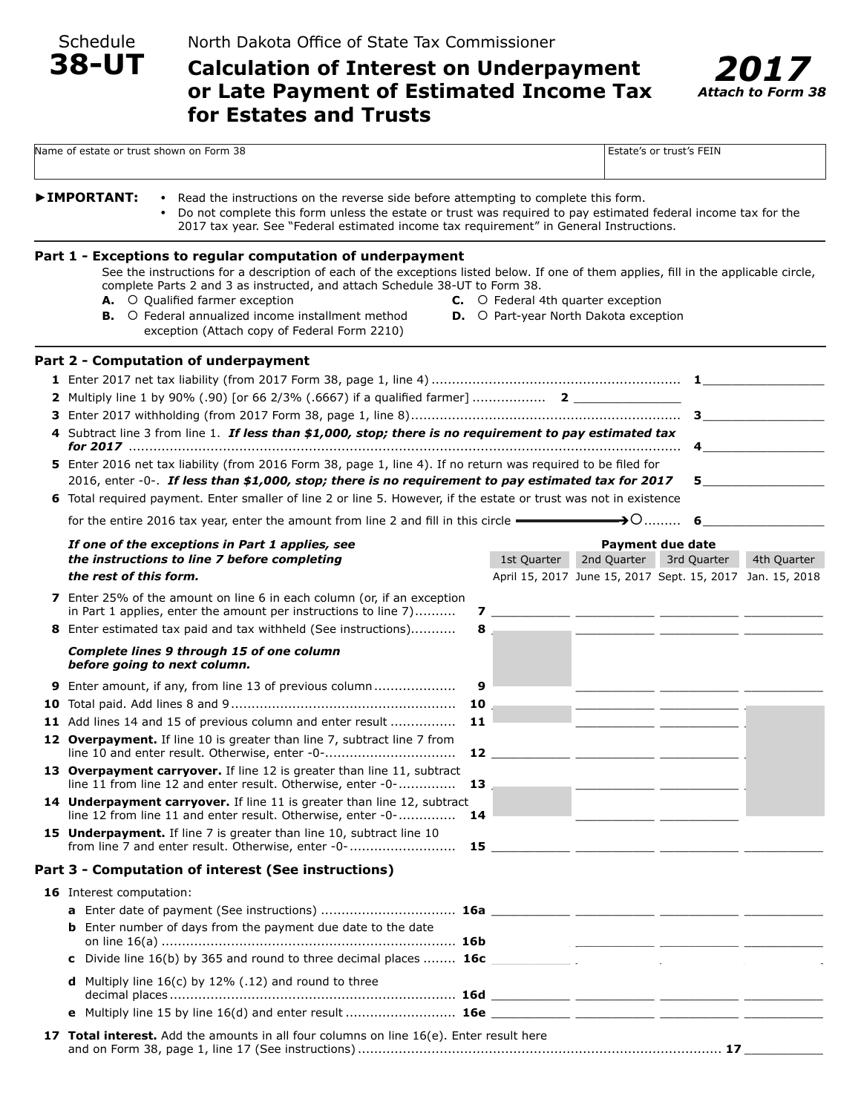Schedule

**38-UT**

# **Calculation of Interest on Underpayment or Late Payment of Estimated Income Tax for Estates and Trusts**



| Name of estate or trust shown on Form 38                                                                                                                                                                                                                                                                                                                                                                                          |                                                                                                               |                                                                                           |                |  | Estate's or trust's FEIN                                                                            |             |
|-----------------------------------------------------------------------------------------------------------------------------------------------------------------------------------------------------------------------------------------------------------------------------------------------------------------------------------------------------------------------------------------------------------------------------------|---------------------------------------------------------------------------------------------------------------|-------------------------------------------------------------------------------------------|----------------|--|-----------------------------------------------------------------------------------------------------|-------------|
| <b>&gt;IMPORTANT:</b><br>• Read the instructions on the reverse side before attempting to complete this form.<br>2017 tax year. See "Federal estimated income tax requirement" in General Instructions.                                                                                                                                                                                                                           | Do not complete this form unless the estate or trust was required to pay estimated federal income tax for the |                                                                                           |                |  |                                                                                                     |             |
| Part 1 - Exceptions to regular computation of underpayment<br>See the instructions for a description of each of the exceptions listed below. If one of them applies, fill in the applicable circle,<br>complete Parts 2 and 3 as instructed, and attach Schedule 38-UT to Form 38.<br>A. O Qualified farmer exception<br><b>B.</b> O Federal annualized income installment method<br>exception (Attach copy of Federal Form 2210) |                                                                                                               | <b>C.</b> O Federal 4th quarter exception<br><b>D.</b> O Part-year North Dakota exception |                |  |                                                                                                     |             |
| Part 2 - Computation of underpayment<br>4 Subtract line 3 from line 1. If less than \$1,000, stop; there is no requirement to pay estimated tax                                                                                                                                                                                                                                                                                   |                                                                                                               |                                                                                           |                |  |                                                                                                     | 4 $\qquad$  |
| 5 Enter 2016 net tax liability (from 2016 Form 38, page 1, line 4). If no return was required to be filed for<br>2016, enter -0-. If less than \$1,000, stop; there is no requirement to pay estimated tax for 2017<br>6 Total required payment. Enter smaller of line 2 or line 5. However, if the estate or trust was not in existence<br>for the entire 2016 tax year, enter the amount from line 2 and fill in this circle    |                                                                                                               |                                                                                           |                |  |                                                                                                     | $5 - 5$     |
| If one of the exceptions in Part 1 applies, see<br>the instructions to line 7 before completing<br>the rest of this form.                                                                                                                                                                                                                                                                                                         |                                                                                                               | 1st Quarter                                                                               | 2nd Quarter    |  | <b>Payment due date</b><br>3rd Quarter<br>April 15, 2017 June 15, 2017 Sept. 15, 2017 Jan. 15, 2018 | 4th Quarter |
| <b>7</b> Enter 25% of the amount on line 6 in each column (or, if an exception<br>in Part 1 applies, enter the amount per instructions to line 7)<br>8 Enter estimated tax paid and tax withheld (See instructions)                                                                                                                                                                                                               | $8 -$                                                                                                         |                                                                                           |                |  |                                                                                                     |             |
| <b>Complete lines 9 through 15 of one column</b><br>before going to next column.                                                                                                                                                                                                                                                                                                                                                  |                                                                                                               |                                                                                           |                |  |                                                                                                     |             |
| 9 Enter amount, if any, from line 13 of previous column                                                                                                                                                                                                                                                                                                                                                                           | 9                                                                                                             |                                                                                           |                |  |                                                                                                     |             |
| 10                                                                                                                                                                                                                                                                                                                                                                                                                                |                                                                                                               |                                                                                           |                |  |                                                                                                     |             |
| 11 Add lines 14 and 15 of previous column and enter result<br>11<br>12 Overpayment. If line 10 is greater than line 7, subtract line 7 from<br>line 10 and enter result. Otherwise, enter -0-<br>12                                                                                                                                                                                                                               |                                                                                                               |                                                                                           |                |  |                                                                                                     |             |
| 13 Overpayment carryover. If line 12 is greater than line 11, subtract<br>line 11 from line 12 and enter result. Otherwise, enter -0-<br>13                                                                                                                                                                                                                                                                                       |                                                                                                               |                                                                                           |                |  |                                                                                                     |             |
| 14 Underpayment carryover. If line 11 is greater than line 12, subtract<br>line 12 from line 11 and enter result. Otherwise, enter -0-<br>14<br>15 Underpayment. If line 7 is greater than line 10, subtract line 10                                                                                                                                                                                                              |                                                                                                               |                                                                                           |                |  |                                                                                                     |             |
|                                                                                                                                                                                                                                                                                                                                                                                                                                   |                                                                                                               |                                                                                           |                |  |                                                                                                     |             |
| Part 3 - Computation of interest (See instructions)                                                                                                                                                                                                                                                                                                                                                                               |                                                                                                               |                                                                                           |                |  |                                                                                                     |             |
| 16 Interest computation:                                                                                                                                                                                                                                                                                                                                                                                                          |                                                                                                               |                                                                                           |                |  |                                                                                                     |             |
| <b>b</b> Enter number of days from the payment due date to the date                                                                                                                                                                                                                                                                                                                                                               |                                                                                                               |                                                                                           |                |  |                                                                                                     |             |
|                                                                                                                                                                                                                                                                                                                                                                                                                                   |                                                                                                               |                                                                                           | <b>College</b> |  |                                                                                                     |             |
| Divide line 16(b) by 365 and round to three decimal places  16c _______________<br>C                                                                                                                                                                                                                                                                                                                                              |                                                                                                               |                                                                                           |                |  |                                                                                                     |             |
| <b>d</b> Multiply line $16(c)$ by 12% (.12) and round to three                                                                                                                                                                                                                                                                                                                                                                    |                                                                                                               |                                                                                           |                |  |                                                                                                     |             |
|                                                                                                                                                                                                                                                                                                                                                                                                                                   |                                                                                                               |                                                                                           |                |  |                                                                                                     |             |
| 17 Total interest. Add the amounts in all four columns on line 16(e). Enter result here<br>and on Form 38, page 1, line 17 (See instructions) ……………………………………………………………………………… 17                                                                                                                                                                                                                                                   |                                                                                                               |                                                                                           |                |  |                                                                                                     |             |